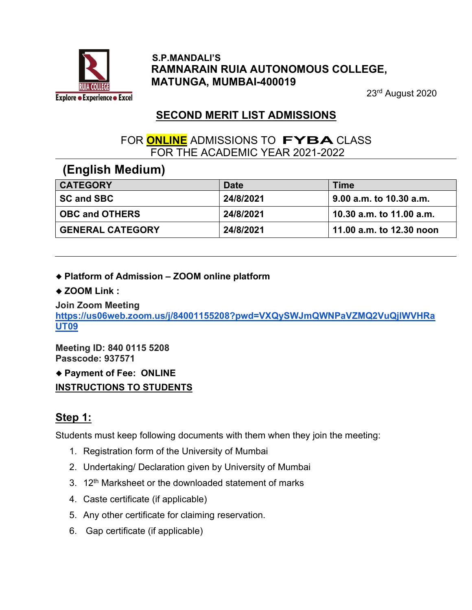

#### S.P.MANDALI'S RAMNARAIN RUIA AUTONOMOUS COLLEGE, MATUNGA, MUMBAI-400019

23rd August 2020

# SECOND MERIT LIST ADMISSIONS

### FOR **ONLINE** ADMISSIONS TO **FYBA** CLASS FOR THE ACADEMIC YEAR 2021-2022

### (English Medium)

| <b>CATEGORY</b>         | <b>Date</b> | Time                     |
|-------------------------|-------------|--------------------------|
| <b>SC and SBC</b>       | 24/8/2021   | 9.00 a.m. to 10.30 a.m.  |
| <b>OBC and OTHERS</b>   | 24/8/2021   | 10.30 a.m. to 11.00 a.m. |
| <b>GENERAL CATEGORY</b> | 24/8/2021   | 11.00 a.m. to 12.30 noon |

#### Platform of Admission – ZOOM online platform

#### ◆ ZOOM Link :

Join Zoom Meeting https://us06web.zoom.us/j/84001155208?pwd=VXQySWJmQWNPaVZMQ2VuQjlWVHRa UT09

Meeting ID: 840 0115 5208 Passcode: 937571

Payment of Fee: ONLINE

INSTRUCTIONS TO STUDENTS

# Step 1:

Students must keep following documents with them when they join the meeting:

- 1. Registration form of the University of Mumbai
- 2. Undertaking/ Declaration given by University of Mumbai
- 3. 12<sup>th</sup> Marksheet or the downloaded statement of marks
- 4. Caste certificate (if applicable)
- 5. Any other certificate for claiming reservation.
- 6. Gap certificate (if applicable)